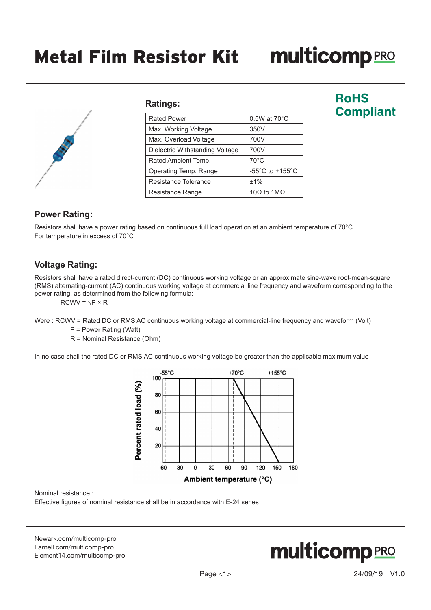# **multicomp**PRO



#### **Ratings:**

| <b>Rated Power</b>              | 0.5W at 70°C                          |
|---------------------------------|---------------------------------------|
| Max. Working Voltage            | 350V                                  |
| Max. Overload Voltage           | 700V                                  |
| Dielectric Withstanding Voltage | 700V                                  |
| Rated Ambient Temp.             | 70°C                                  |
| Operating Temp. Range           | -55 $^{\circ}$ C to +155 $^{\circ}$ C |
| Resistance Tolerance            | ±1%                                   |
| Resistance Range                | 10Ω to 1MΩ                            |

## **RoHS Compliant**

## **Power Rating:**

Resistors shall have a power rating based on continuous full load operation at an ambient temperature of 70°C For temperature in excess of 70°C

## **Voltage Rating:**

Resistors shall have a rated direct-current (DC) continuous working voltage or an approximate sine-wave root-mean-square (RMS) alternating-current (AC) continuous working voltage at commercial line frequency and waveform corresponding to the power rating, as determined from the following formula:

 $RCWV = \sqrt{P \times R}$ 

Were : RCWV = Rated DC or RMS AC continuous working voltage at commercial-line frequency and waveform (Volt)

P = Power Rating (Watt)

R = Nominal Resistance (Ohm)

In no case shall the rated DC or RMS AC continuous working voltage be greater than the applicable maximum value



Nominal resistance :

Effective figures of nominal resistance shall be in accordance with E-24 series

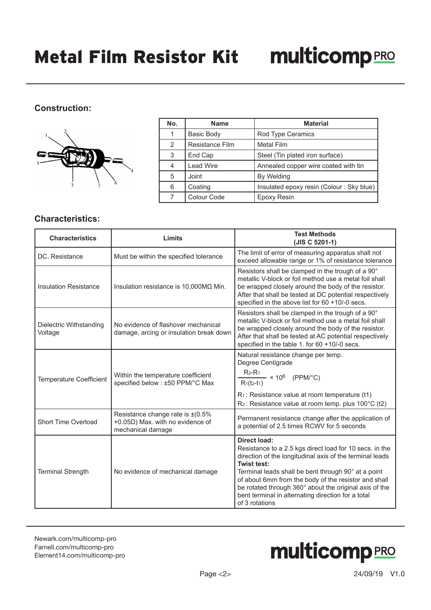## **Construction:**



| No. | <b>Name</b>       | <b>Material</b>                          |
|-----|-------------------|------------------------------------------|
|     | <b>Basic Body</b> | Rod Type Ceramics                        |
| 2   | Resistance Film   | <b>Metal Film</b>                        |
| 3   | End Cap           | Steel (Tin plated iron surface)          |
|     | <b>Lead Wire</b>  | Annealed copper wire coated with tin     |
| 5   | Joint             | By Welding                               |
| 6   | Coating           | Insulated epoxy resin (Colour: Sky blue) |
|     | Colour Code       | Epoxy Resin                              |

### **Characteristics:**

| <b>Characteristics</b>             | Limits                                                                                                   | <b>Test Methods</b><br>(JIS C 5201-1)                                                                                                                                                                                                                                                                                                                                                               |
|------------------------------------|----------------------------------------------------------------------------------------------------------|-----------------------------------------------------------------------------------------------------------------------------------------------------------------------------------------------------------------------------------------------------------------------------------------------------------------------------------------------------------------------------------------------------|
| DC. Resistance                     | Must be within the specified tolerance                                                                   | The limit of error of measuring apparatus shall not<br>exceed allowable range or 1% of resistance tolerance                                                                                                                                                                                                                                                                                         |
| <b>Insulation Resistance</b>       | Insulation resistance is $10,000M\Omega$ Min.                                                            | Resistors shall be clamped in the trough of a 90°<br>metallic V-block or foil method use a metal foil shall<br>be wrapped closely around the body of the resistor.<br>After that shall be tested at DC potential respectively<br>specified in the above list for 60 +10/-0 secs.                                                                                                                    |
| Dielectric Withstanding<br>Voltage | No evidence of flashover mechanical<br>damage, arcing or insulation break down                           | Resistors shall be clamped in the trough of a 90°<br>metallic V-block or foil method use a metal foil shall<br>be wrapped closely around the body of the resistor.<br>After that shall be tested at AC potential respectively<br>specified in the table 1. for 60 +10/-0 secs.                                                                                                                      |
| <b>Temperature Coefficient</b>     | Within the temperature coefficient<br>specified below : ±50 PPM/°C Max                                   | Natural resistance change per temp.<br>Degree Centigrade<br>$R_{2}$ -R <sub>1</sub><br>$-$ × 10 <sup>6</sup> (PPM/°C)<br>$R_1(t_2-t_1)$<br>$R_1$ : Resistance value at room temperature (t1)<br>$R_2$ : Resistance value at room temp. plus 100 $\degree$ C (t2)                                                                                                                                    |
| Short Time Overload                | Resistance change rate is $\pm (0.5\%$<br>+0.05 $\Omega$ ) Max. with no evidence of<br>mechanical damage | Permanent resistance change after the application of<br>a potential of 2.5 times RCWV for 5 seconds                                                                                                                                                                                                                                                                                                 |
| <b>Terminal Strength</b>           | No evidence of mechanical damage                                                                         | Direct load:<br>Resistance to a 2.5 kgs direct load for 10 secs. in the<br>direction of the longitudinal axis of the terminal leads<br>Twist test:<br>Terminal leads shall be bent through 90° at a point<br>of about 6mm from the body of the resistor and shall<br>be rotated through 360° about the original axis of the<br>bent terminal in alternating direction for a total<br>of 3 rotations |

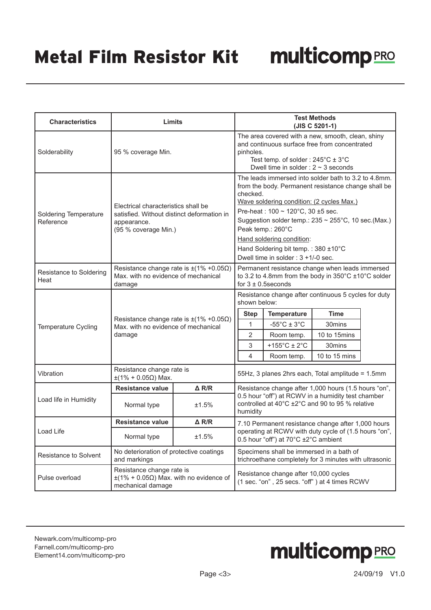| <b>Characteristics</b>             | Limits                                                                                                                   |                 | <b>Test Methods</b><br>(JIS C 5201-1)                                                                                                                                                                                                                                                                                                                                                                                            |                                                                                                                          |                                                                                                                          |  |
|------------------------------------|--------------------------------------------------------------------------------------------------------------------------|-----------------|----------------------------------------------------------------------------------------------------------------------------------------------------------------------------------------------------------------------------------------------------------------------------------------------------------------------------------------------------------------------------------------------------------------------------------|--------------------------------------------------------------------------------------------------------------------------|--------------------------------------------------------------------------------------------------------------------------|--|
| Solderability                      | 95 % coverage Min.                                                                                                       |                 | The area covered with a new, smooth, clean, shiny<br>and continuous surface free from concentrated<br>pinholes.<br>Test temp. of solder: $245^{\circ}$ C $\pm$ 3 $^{\circ}$ C<br>Dwell time in solder : $2 \sim 3$ seconds                                                                                                                                                                                                       |                                                                                                                          |                                                                                                                          |  |
| Soldering Temperature<br>Reference | Electrical characteristics shall be<br>satisfied. Without distinct deformation in<br>appearance.<br>(95 % coverage Min.) |                 | The leads immersed into solder bath to 3.2 to 4.8mm.<br>from the body. Permanent resistance change shall be<br>checked.<br>Wave soldering condition: (2 cycles Max.)<br>Pre-heat: $100 \sim 120^{\circ}$ C. 30 ±5 sec.<br>Suggestion solder temp.: $235 \approx 255^{\circ}$ C, 10 sec.(Max.)<br>Peak temp.: 260°C<br>Hand soldering condition:<br>Hand Soldering bit temp.: 380 ±10°C<br>Dwell time in solder : $3 + 1/-0$ sec. |                                                                                                                          |                                                                                                                          |  |
| Resistance to Soldering<br>Heat    | Resistance change rate is $\pm$ (1% +0.05 $\Omega$ )<br>Max, with no evidence of mechanical<br>damage                    |                 | Permanent resistance change when leads immersed<br>to 3.2 to 4.8mm from the body in 350°C ±10°C solder<br>for $3 \pm 0.5$ seconds                                                                                                                                                                                                                                                                                                |                                                                                                                          |                                                                                                                          |  |
| Temperature Cycling                | Resistance change rate is $\pm(1\% + 0.05\Omega)$<br>Max. with no evidence of mechanical<br>damage                       |                 | shown below:<br><b>Step</b><br>$\mathbf{1}$<br>2<br>3<br>4                                                                                                                                                                                                                                                                                                                                                                       | <b>Temperature</b><br>$-55^{\circ}$ C ± 3 $^{\circ}$ C<br>Room temp.<br>+155 $^{\circ}$ C ± 2 $^{\circ}$ C<br>Room temp. | Resistance change after continuous 5 cycles for duty<br><b>Time</b><br>30mins<br>10 to 15mins<br>30mins<br>10 to 15 mins |  |
| Vibration                          | Resistance change rate is<br>$±$ (1% + 0.05Ω) Max.                                                                       |                 |                                                                                                                                                                                                                                                                                                                                                                                                                                  |                                                                                                                          | 55Hz, 3 planes 2hrs each, Total amplitude = 1.5mm                                                                        |  |
|                                    | Resistance value                                                                                                         | $\triangle$ R/R | Resistance change after 1,000 hours (1.5 hours "on",                                                                                                                                                                                                                                                                                                                                                                             |                                                                                                                          |                                                                                                                          |  |
| Load life in Humidity              | Normal type<br>±1.5%                                                                                                     |                 | 0.5 hour "off") at RCWV in a humidity test chamber<br>controlled at 40°C ±2°C and 90 to 95 % relative<br>humidity                                                                                                                                                                                                                                                                                                                |                                                                                                                          |                                                                                                                          |  |
|                                    | <b>Resistance value</b>                                                                                                  | $\triangle$ R/R | 7.10 Permanent resistance change after 1,000 hours                                                                                                                                                                                                                                                                                                                                                                               |                                                                                                                          |                                                                                                                          |  |
| Load Life                          | Normal type<br>±1.5%                                                                                                     |                 | operating at RCWV with duty cycle of (1.5 hours "on",<br>0.5 hour "off") at 70°C ±2°C ambient                                                                                                                                                                                                                                                                                                                                    |                                                                                                                          |                                                                                                                          |  |
| Resistance to Solvent              | No deterioration of protective coatings<br>and markings                                                                  |                 | Specimens shall be immersed in a bath of<br>trichroethane completely for 3 minutes with ultrasonic                                                                                                                                                                                                                                                                                                                               |                                                                                                                          |                                                                                                                          |  |
| Pulse overload                     | Resistance change rate is<br>$\pm$ (1% + 0.05 $\Omega$ ) Max. with no evidence of<br>mechanical damage                   |                 |                                                                                                                                                                                                                                                                                                                                                                                                                                  | Resistance change after 10,000 cycles                                                                                    | (1 sec. "on", 25 secs. "off") at 4 times RCWV                                                                            |  |

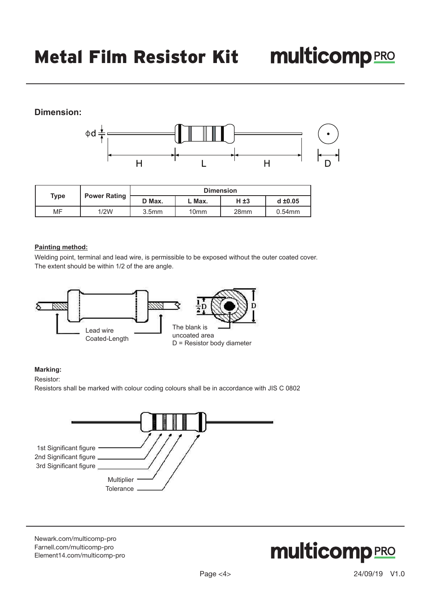## **Dimension:**



|                             |      |                   | <b>Dimension</b> |                  |              |  |
|-----------------------------|------|-------------------|------------------|------------------|--------------|--|
| <b>Power Rating</b><br>Type |      | D Max.            | . Max.           | $H \pm 3$        | $d \pm 0.05$ |  |
| MF                          | 1/2W | 3.5 <sub>mm</sub> | 10 <sub>mm</sub> | 28 <sub>mm</sub> | 0.54mm       |  |

#### **Painting method:**

Welding point, terminal and lead wire, is permissible to be exposed without the outer coated cover. The extent should be within 1/2 of the are angle.



#### **Marking:**

Resistor:

Resistors shall be marked with colour coding colours shall be in accordance with JIS C 0802



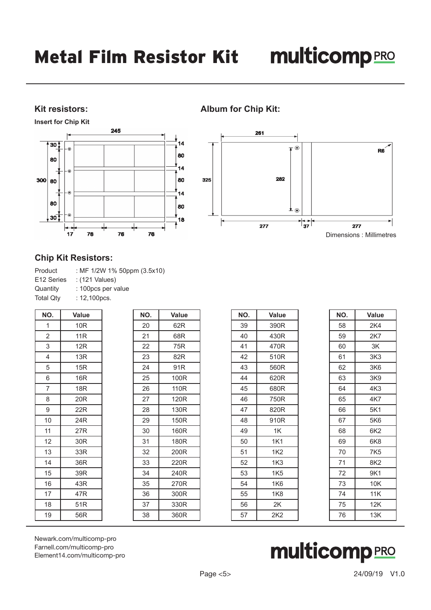## multicompRRO

## **Kit resistors:**

**Insert for Chip Kit**



## **Album for Chip Kit:**



### **Chip Kit Resistors:**

| : MF 1/2W 1% 50ppm (3.5x10) |
|-----------------------------|
|                             |
|                             |
|                             |
|                             |

| NO.             | Value           | NO. | Value           |
|-----------------|-----------------|-----|-----------------|
| 1               | 10R             | 20  | 62R             |
| $\overline{2}$  | 11 <sub>R</sub> | 21  | 68R             |
| 3               | 12R             | 22  | 75R             |
| $\overline{4}$  | 13R             | 23  | 82R             |
| 5               | 15R             | 24  | 91 <sub>R</sub> |
| 6               | 16 <sub>R</sub> | 25  | 100R            |
| $\overline{7}$  | 18R             | 26  | 110R            |
| 8               | 20R             | 27  | 120R            |
| 9               | 22R             | 28  | 130R            |
| 10 <sup>1</sup> | 24R             | 29  | 150R            |
| 11              | 27R             | 30  | 160R            |
| 12              | 30 <sub>R</sub> | 31  | 180R            |
| 13              | 33R             | 32  | 200R            |
| 14              | 36R             | 33  | 220R            |
| 15              | 39R             | 34  | 240R            |
| 16              | 43R             | 35  | 270R            |
| 17              | 47R             | 36  | 300R            |
| 18              | 51R             | 37  | 330R            |
| 19              | 56R             | 38  | 360R            |

| NO. | Value           |
|-----|-----------------|
| 39  | 390R            |
| 40  | 430R            |
| 41  | 470R            |
| 42  | 510R            |
| 43  | 560R            |
| 44  | 620R            |
| 45  | 680R            |
| 46  | 750R            |
| 47  | 820R            |
| 48  | 910R            |
| 49  | 1K              |
| 50  | 1K1             |
| 51  | 1K2             |
| 52  | 1K <sub>3</sub> |
| 53  | 1K5             |
| 54  | 1K6             |
| 55  | 1K8             |
| 56  | 2K              |
| 57  | 2K2             |
|     |                 |

| NO. | Value           |
|-----|-----------------|
| 58  | 2K4             |
| 59  | 2K7             |
| 60  | 3K              |
| 61  | 3K <sub>3</sub> |
| 62  | 3K <sub>6</sub> |
| 63  | 3K9             |
| 64  | 4K <sub>3</sub> |
| 65  | 4K7             |
| 66  | 5K1             |
| 67  | 5K6             |
| 68  | 6K2             |
| 69  | 6K8             |
| 70  | 7K <sub>5</sub> |
| 71  | 8K <sub>2</sub> |
| 72  | 9K1             |
| 73  | 10K             |
| 74  | 11K             |
| 75  | 12K             |
| 76  | 13K             |